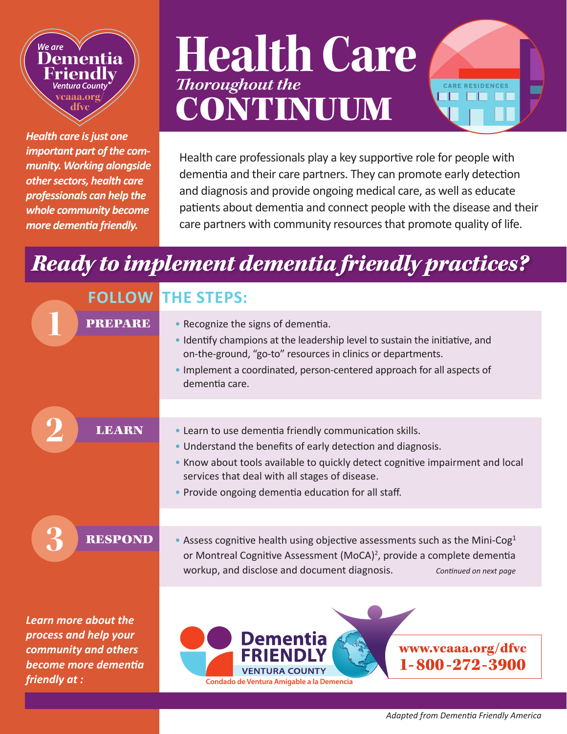### *We are* **Dementia Friendly** *Ventura County* **vcaaa.org/ dfvc**

*Health care is just one important part of the community. Working alongside other sectors, health care professionals can help the whole community become more dementia friendly.* 

# **Health Care** *Thoroughout the* CONTINUUM



Health care professionals play a key supportive role for people with dementia and their care partners. They can promote early detection and diagnosis and provide ongoing medical care, as well as educate patients about dementia and connect people with the disease and their care partners with community resources that promote quality of life.

## *Ready to implement dementia friendly practices?*

|                                                                                                                | <b>FOLLOW THE STEPS:</b>                                                                                                                                                                                                                                                                                        |
|----------------------------------------------------------------------------------------------------------------|-----------------------------------------------------------------------------------------------------------------------------------------------------------------------------------------------------------------------------------------------------------------------------------------------------------------|
| <b>PREPARE</b>                                                                                                 | • Recognize the signs of dementia.<br>. Identify champions at the leadership level to sustain the initiative, and<br>on-the-ground, "go-to" resources in clinics or departments.<br>. Implement a coordinated, person-centered approach for all aspects of<br>dementia care.                                    |
| <b>LEARN</b>                                                                                                   | • Learn to use dementia friendly communication skills.<br>. Understand the benefits of early detection and diagnosis.<br>• Know about tools available to quickly detect cognitive impairment and local<br>services that deal with all stages of disease.<br>• Provide ongoing dementia education for all staff. |
| <b>RESPOND</b>                                                                                                 | • Assess cognitive health using objective assessments such as the Mini-Cog <sup>1</sup><br>or Montreal Cognitive Assessment (MoCA) <sup>2</sup> , provide a complete dementia<br>workup, and disclose and document diagnosis.<br>Continued on next page                                                         |
| Learn more about the<br>process and help your<br>community and others<br>become more dementia<br>friendly at : | <b>Dementia</b><br>www.vcaaa.org/dfvc<br>1-800-272-3900<br><b>VENTURA COUNTY</b><br>Condado de Ventura Amigable a la Demencia                                                                                                                                                                                   |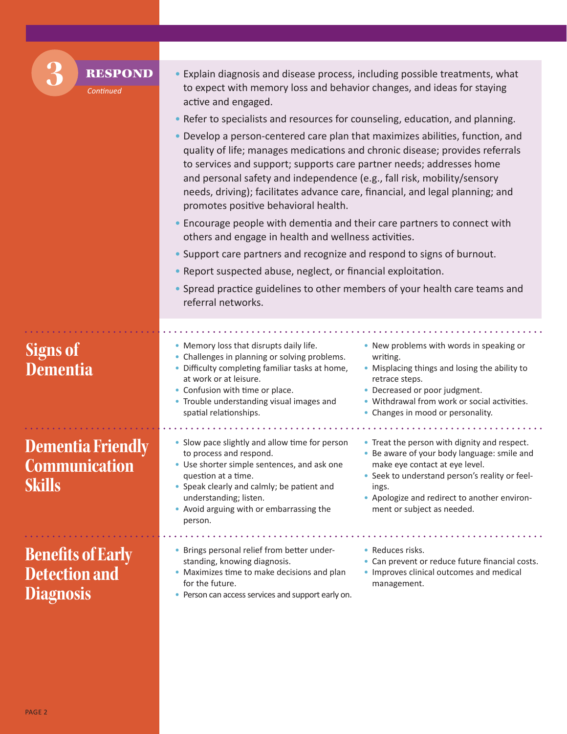| <b>RESPOND</b><br>Continued                                          | • Explain diagnosis and disease process, including possible treatments, what<br>to expect with memory loss and behavior changes, and ideas for staying<br>active and engaged.                                                                                                                                                                                                                                                                                                                                                                            |
|----------------------------------------------------------------------|----------------------------------------------------------------------------------------------------------------------------------------------------------------------------------------------------------------------------------------------------------------------------------------------------------------------------------------------------------------------------------------------------------------------------------------------------------------------------------------------------------------------------------------------------------|
|                                                                      | • Refer to specialists and resources for counseling, education, and planning.                                                                                                                                                                                                                                                                                                                                                                                                                                                                            |
|                                                                      | • Develop a person-centered care plan that maximizes abilities, function, and<br>quality of life; manages medications and chronic disease; provides referrals<br>to services and support; supports care partner needs; addresses home<br>and personal safety and independence (e.g., fall risk, mobility/sensory<br>needs, driving); facilitates advance care, financial, and legal planning; and<br>promotes positive behavioral health.                                                                                                                |
|                                                                      | • Encourage people with dementia and their care partners to connect with<br>others and engage in health and wellness activities.                                                                                                                                                                                                                                                                                                                                                                                                                         |
|                                                                      | • Support care partners and recognize and respond to signs of burnout.                                                                                                                                                                                                                                                                                                                                                                                                                                                                                   |
|                                                                      | • Report suspected abuse, neglect, or financial exploitation.                                                                                                                                                                                                                                                                                                                                                                                                                                                                                            |
|                                                                      | • Spread practice guidelines to other members of your health care teams and<br>referral networks.                                                                                                                                                                                                                                                                                                                                                                                                                                                        |
|                                                                      |                                                                                                                                                                                                                                                                                                                                                                                                                                                                                                                                                          |
| <b>Signs of</b><br><b>Dementia</b>                                   | • Memory loss that disrupts daily life.<br>• New problems with words in speaking or<br>• Challenges in planning or solving problems.<br>writing.<br>• Difficulty completing familiar tasks at home,<br>• Misplacing things and losing the ability to<br>at work or at leisure.<br>retrace steps.<br>• Decreased or poor judgment.<br>• Confusion with time or place.<br>• Withdrawal from work or social activities.<br>• Trouble understanding visual images and<br>spatial relationships.<br>• Changes in mood or personality.                         |
| <b>Dementia Friendly</b><br>Communication<br><b>Skills</b>           | • Slow pace slightly and allow time for person<br>• Treat the person with dignity and respect.<br>• Be aware of your body language: smile and<br>to process and respond.<br>make eye contact at eye level.<br>• Use shorter simple sentences, and ask one<br>• Seek to understand person's reality or feel-<br>question at a time.<br>• Speak clearly and calmly; be patient and<br>ings.<br>understanding; listen.<br>• Apologize and redirect to another environ-<br>• Avoid arguing with or embarrassing the<br>ment or subject as needed.<br>person. |
| <b>Benefits of Early</b><br><b>Detection and</b><br><b>Diagnosis</b> | • Brings personal relief from better under-<br>• Reduces risks.<br>• Can prevent or reduce future financial costs.<br>standing, knowing diagnosis.<br>• Maximizes time to make decisions and plan<br>• Improves clinical outcomes and medical<br>for the future.<br>management.<br>• Person can access services and support early on.                                                                                                                                                                                                                    |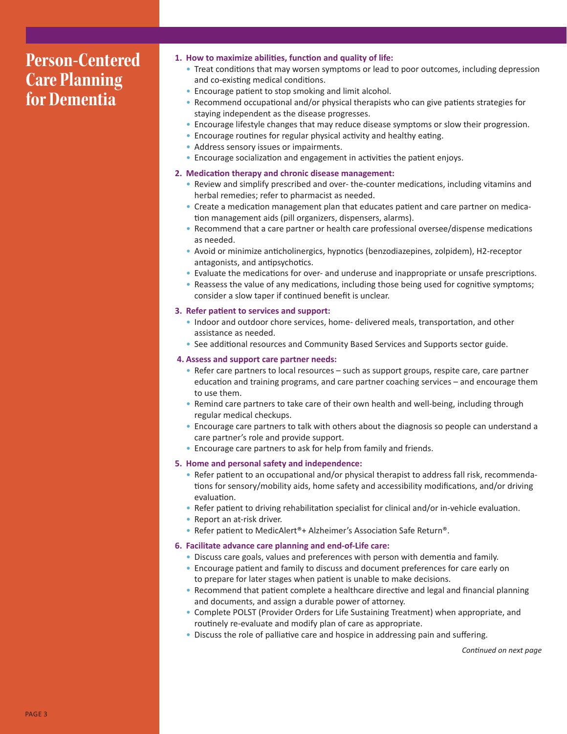## **Person-Centered Care Planning for Dementia**

- **1. How to maximize abilities, function and quality of life:**
	- Treat conditions that may worsen symptoms or lead to poor outcomes, including depression and co-existing medical conditions.
	- Encourage patient to stop smoking and limit alcohol.
	- Recommend occupational and/or physical therapists who can give patients strategies for staying independent as the disease progresses.
	- Encourage lifestyle changes that may reduce disease symptoms or slow their progression.
	- Encourage routines for regular physical activity and healthy eating.
	- Address sensory issues or impairments.
	- Encourage socialization and engagement in activities the patient enjoys.
- **2. Medication therapy and chronic disease management:**
	- Review and simplify prescribed and over- the-counter medications, including vitamins and herbal remedies; refer to pharmacist as needed.
	- Create a medication management plan that educates patient and care partner on medication management aids (pill organizers, dispensers, alarms).
	- Recommend that a care partner or health care professional oversee/dispense medications as needed.
	- Avoid or minimize anticholinergics, hypnotics (benzodiazepines, zolpidem), H2-receptor antagonists, and antipsychotics.
	- Evaluate the medications for over- and underuse and inappropriate or unsafe prescriptions.
	- Reassess the value of any medications, including those being used for cognitive symptoms; consider a slow taper if continued benefit is unclear.
- **3. Refer patient to services and support:**
	- Indoor and outdoor chore services, home- delivered meals, transportation, and other assistance as needed.
	- See additional resources and Community Based Services and Supports sector guide.
- **4. Assess and support care partner needs:**
	- Refer care partners to local resources such as support groups, respite care, care partner education and training programs, and care partner coaching services – and encourage them to use them.
	- Remind care partners to take care of their own health and well-being, including through regular medical checkups.
	- Encourage care partners to talk with others about the diagnosis so people can understand a care partner's role and provide support.
	- Encourage care partners to ask for help from family and friends.
- **5. Home and personal safety and independence:**
	- Refer patient to an occupational and/or physical therapist to address fall risk, recommendations for sensory/mobility aids, home safety and accessibility modifications, and/or driving evaluation.
	- Refer patient to driving rehabilitation specialist for clinical and/or in-vehicle evaluation.
	- Report an at-risk driver.
	- Refer patient to MedicAlert®+ Alzheimer's Association Safe Return®.
- **6. Facilitate advance care planning and end-of-Life care:**
	- Discuss care goals, values and preferences with person with dementia and family.
	- Encourage patient and family to discuss and document preferences for care early on to prepare for later stages when patient is unable to make decisions.
	- Recommend that patient complete a healthcare directive and legal and financial planning and documents, and assign a durable power of attorney.
	- Complete POLST (Provider Orders for Life Sustaining Treatment) when appropriate, and routinely re-evaluate and modify plan of care as appropriate.
	- Discuss the role of palliative care and hospice in addressing pain and suffering.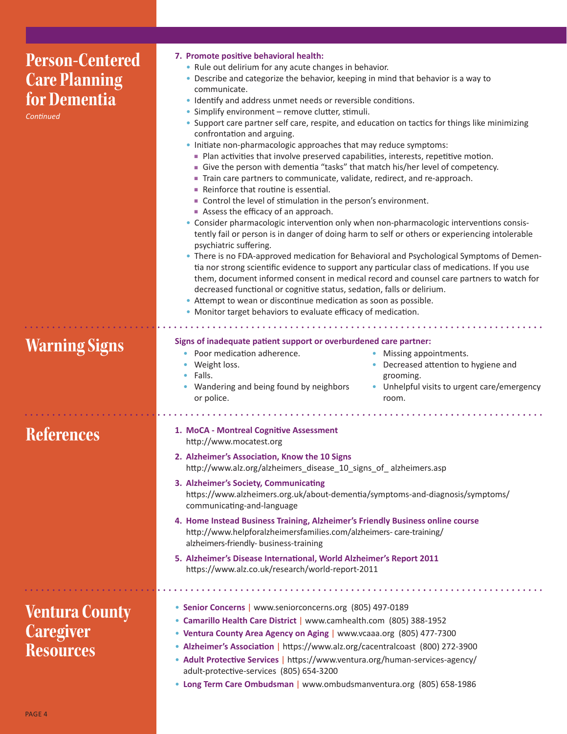| <b>Person-Centered</b><br><b>Care Planning</b><br>for Dementia<br>Continued | 7. Promote positive behavioral health:<br>• Rule out delirium for any acute changes in behavior.<br>• Describe and categorize the behavior, keeping in mind that behavior is a way to<br>communicate.<br>· Identify and address unmet needs or reversible conditions.<br>• Simplify environment - remove clutter, stimuli.<br>• Support care partner self care, respite, and education on tactics for things like minimizing<br>confrontation and arguing.<br>• Initiate non-pharmacologic approaches that may reduce symptoms:<br>Plan activities that involve preserved capabilities, interests, repetitive motion.<br>• Give the person with dementia "tasks" that match his/her level of competency.<br>Train care partners to communicate, validate, redirect, and re-approach.<br>• Reinforce that routine is essential.<br>• Control the level of stimulation in the person's environment.<br>Assess the efficacy of an approach.<br>• Consider pharmacologic intervention only when non-pharmacologic interventions consis-<br>tently fail or person is in danger of doing harm to self or others or experiencing intolerable<br>psychiatric suffering.<br>• There is no FDA-approved medication for Behavioral and Psychological Symptoms of Demen-<br>tia nor strong scientific evidence to support any particular class of medications. If you use<br>them, document informed consent in medical record and counsel care partners to watch for<br>decreased functional or cognitive status, sedation, falls or delirium.<br>• Attempt to wean or discontinue medication as soon as possible.<br>• Monitor target behaviors to evaluate efficacy of medication. |
|-----------------------------------------------------------------------------|---------------------------------------------------------------------------------------------------------------------------------------------------------------------------------------------------------------------------------------------------------------------------------------------------------------------------------------------------------------------------------------------------------------------------------------------------------------------------------------------------------------------------------------------------------------------------------------------------------------------------------------------------------------------------------------------------------------------------------------------------------------------------------------------------------------------------------------------------------------------------------------------------------------------------------------------------------------------------------------------------------------------------------------------------------------------------------------------------------------------------------------------------------------------------------------------------------------------------------------------------------------------------------------------------------------------------------------------------------------------------------------------------------------------------------------------------------------------------------------------------------------------------------------------------------------------------------------------------------------------------------------------------------------------------|
| <b>Warning Signs</b>                                                        | Signs of inadequate patient support or overburdened care partner:<br>Poor medication adherence.<br>• Missing appointments.<br>Weight loss.<br>• Decreased attention to hygiene and<br>Falls.<br>grooming.<br>• Wandering and being found by neighbors<br>• Unhelpful visits to urgent care/emergency<br>or police.<br>room.                                                                                                                                                                                                                                                                                                                                                                                                                                                                                                                                                                                                                                                                                                                                                                                                                                                                                                                                                                                                                                                                                                                                                                                                                                                                                                                                               |
| <b>References</b>                                                           | 1. MoCA - Montreal Cognitive Assessment<br>http://www.mocatest.org<br>2. Alzheimer's Association, Know the 10 Signs<br>http://www.alz.org/alzheimers_disease_10_signs_of_alzheimers.asp<br>3. Alzheimer's Society, Communicating<br>https://www.alzheimers.org.uk/about-dementia/symptoms-and-diagnosis/symptoms/<br>communicating-and-language<br>4. Home Instead Business Training, Alzheimer's Friendly Business online course<br>http://www.helpforalzheimersfamilies.com/alzheimers-care-training/<br>alzheimers-friendly- business-training<br>5. Alzheimer's Disease International, World Alzheimer's Report 2011<br>https://www.alz.co.uk/research/world-report-2011                                                                                                                                                                                                                                                                                                                                                                                                                                                                                                                                                                                                                                                                                                                                                                                                                                                                                                                                                                                              |
| <b>Ventura County</b><br><b>Caregiver</b><br><b>Resources</b>               | • Senior Concerns   www.seniorconcerns.org (805) 497-0189<br>• Camarillo Health Care District   www.camhealth.com (805) 388-1952<br>• Ventura County Area Agency on Aging   www.vcaaa.org (805) 477-7300<br>• Alzheimer's Association   https://www.alz.org/cacentralcoast (800) 272-3900<br>• Adult Protective Services   https://www.ventura.org/human-services-agency/<br>adult-protective-services (805) 654-3200<br>• Long Term Care Ombudsman   www.ombudsmanventura.org (805) 658-1986                                                                                                                                                                                                                                                                                                                                                                                                                                                                                                                                                                                                                                                                                                                                                                                                                                                                                                                                                                                                                                                                                                                                                                             |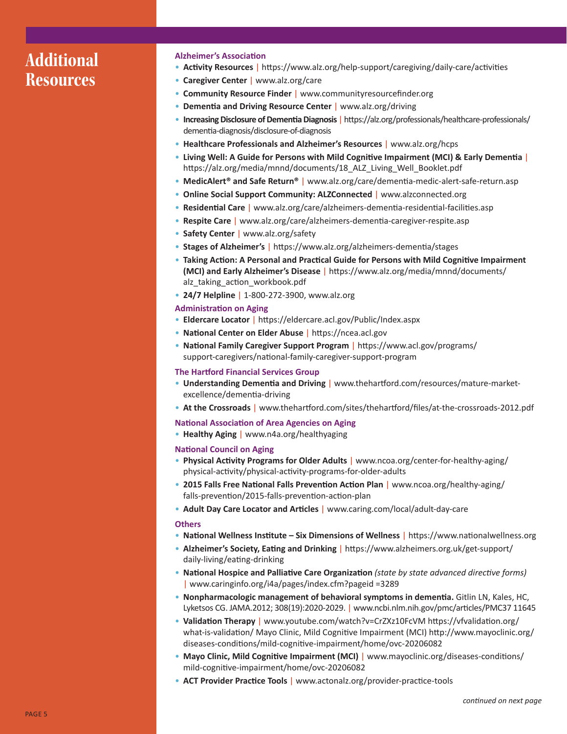## **Additional Resources**

#### **Alzheimer's Association**

- **Activity Resources** | https://www.alz.org/help-support/caregiving/daily-care/activities
- **Caregiver Center** | www.alz.org/care
- **Community Resource Finder** | www.communityresourcefinder.org
- **Dementia and Driving Resource Center** | www.alz.org/driving
- **Increasing Disclosure of Dementia Diagnosis** | https://alz.org/professionals/healthcare-professionals/ dementia-diagnosis/disclosure-of-diagnosis
- **Healthcare Professionals and Alzheimer's Resources** | www.alz.org/hcps
- **Living Well: A Guide for Persons with Mild Cognitive Impairment (MCI) & Early Dementia** | https://alz.org/media/mnnd/documents/18\_ALZ\_Living\_Well\_Booklet.pdf
- **MedicAlert® and Safe Return®** | www.alz.org/care/dementia-medic-alert-safe-return.asp
- **Online Social Support Community: ALZConnected** | www.alzconnected.org
- **Residential Care** | www.alz.org/care/alzheimers-dementia-residential-facilities.asp
- **Respite Care** | www.alz.org/care/alzheimers-dementia-caregiver-respite.asp
- **Safety Center** | www.alz.org/safety
- **Stages of Alzheimer's** | https://www.alz.org/alzheimers-dementia/stages
- **Taking Action: A Personal and Practical Guide for Persons with Mild Cognitive Impairment (MCI) and Early Alzheimer's Disease** | https://www.alz.org/media/mnnd/documents/ alz\_taking\_action\_workbook.pdf
- **24/7 Helpline** | 1-800-272-3900, www.alz.org

#### **Administration on Aging**

- **Eldercare Locator** | https://eldercare.acl.gov/Public/Index.aspx
- **National Center on Elder Abuse** | https://ncea.acl.gov
- **National Family Caregiver Support Program** | https://www.acl.gov/programs/ support-caregivers/national-family-caregiver-support-program

#### **The Hartford Financial Services Group**

- **Understanding Dementia and Driving** | www.thehartford.com/resources/mature-marketexcellence/dementia-driving
- **At the Crossroads** | www.thehartford.com/sites/thehartford/files/at-the-crossroads-2012.pdf

#### **National Association of Area Agencies on Aging**

• **Healthy Aging** | www.n4a.org/healthyaging

#### **National Council on Aging**

- **Physical Activity Programs for Older Adults** | www.ncoa.org/center-for-healthy-aging/ physical-activity/physical-activity-programs-for-older-adults
- **2015 Falls Free National Falls Prevention Action Plan** | www.ncoa.org/healthy-aging/ falls-prevention/2015-falls-prevention-action-plan
- **Adult Day Care Locator and Articles** | www.caring.com/local/adult-day-care

#### **Others**

- **National Wellness Institute – Six Dimensions of Wellness** | https://www.nationalwellness.org
- **Alzheimer's Society, Eating and Drinking** | https://www.alzheimers.org.uk/get-support/ daily-living/eating-drinking
- **National Hospice and Palliative Care Organization** *(state by state advanced directive forms)*  | www.caringinfo.org/i4a/pages/index.cfm?pageid =3289
- **Nonpharmacologic management of behavioral symptoms in dementia.** Gitlin LN, Kales, HC, Lyketsos CG. JAMA.2012; 308(19):2020-2029. | www.ncbi.nlm.nih.gov/pmc/articles/PMC37 11645
- **Validation Therapy** | www.youtube.com/watch?v=CrZXz10FcVM https://vfvalidation.org/ what-is-validation/ Mayo Clinic, Mild Cognitive Impairment (MCI) http://www.mayoclinic.org/ diseases-conditions/mild-cognitive-impairment/home/ovc-20206082
- **Mayo Clinic, Mild Cognitive Impairment (MCI)** | www.mayoclinic.org/diseases-conditions/ mild-cognitive-impairment/home/ovc-20206082
- **ACT Provider Practice Tools** | www.actonalz.org/provider-practice-tools